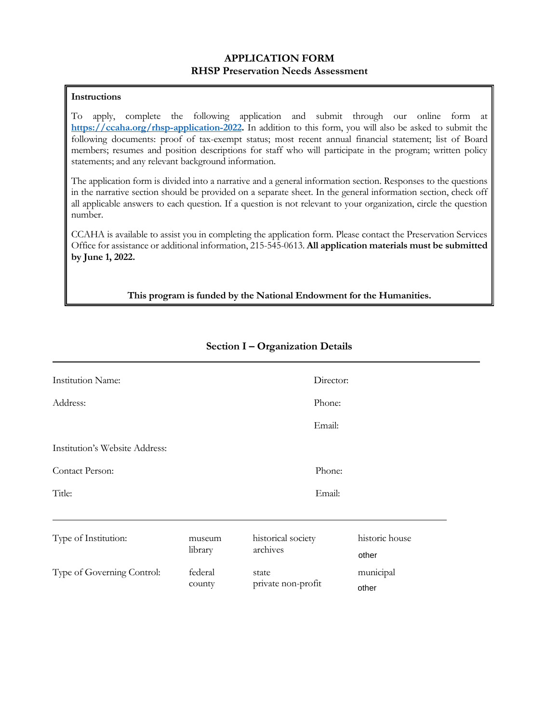### **APPLICATION FORM RHSP Preservation Needs Assessment**

### **Instructions**

To apply, complete the following application and submit through our online form at **[https://ccaha.org/rhsp-application-2022.](https://ccaha.org/rhsp-application-2022)** In addition to this form, you will also be asked to submit the following documents: proof of tax-exempt status; most recent annual financial statement; list of Board members; resumes and position descriptions for staff who will participate in the program; written policy statements; and any relevant background information.

The application form is divided into a narrative and a general information section. Responses to the questions in the narrative section should be provided on a separate sheet. In the general information section, check off all applicable answers to each question. If a question is not relevant to your organization, circle the question number.

CCAHA is available to assist you in completing the application form. Please contact the Preservation Services Office for assistance or additional information, 215-545-0613. **All application materials must be submitted by June 1, 2022.**

**This program is funded by the National Endowment for the Humanities.**

| <b>Institution Name:</b>       |         |                    | Director: |                |  |
|--------------------------------|---------|--------------------|-----------|----------------|--|
| Address:                       |         |                    | Phone:    |                |  |
|                                |         |                    | Email:    |                |  |
| Institution's Website Address: |         |                    |           |                |  |
| Contact Person:<br>Phone:      |         |                    |           |                |  |
| Title:                         |         |                    | Email:    |                |  |
|                                |         |                    |           |                |  |
| Type of Institution:           | museum  | historical society |           | historic house |  |
|                                | library | archives           |           | other          |  |
| Type of Governing Control:     | federal | state              |           | municipal      |  |
|                                | county  | private non-profit |           | other          |  |

### **Section I – Organization Details**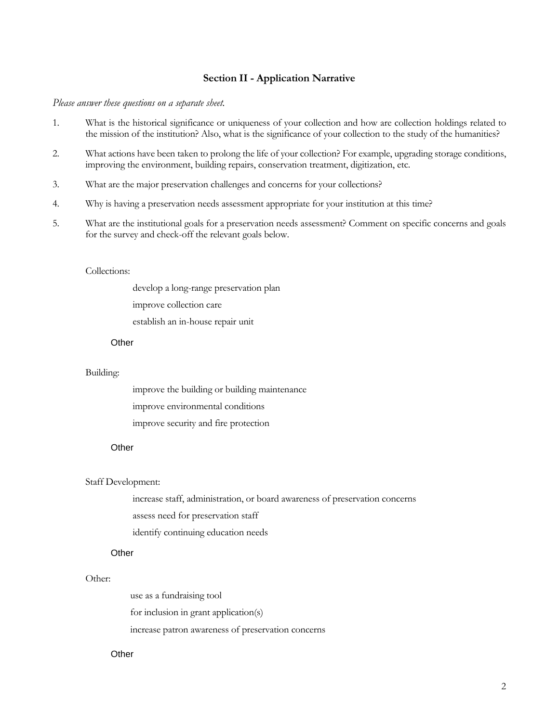### **Section II - Application Narrative**

#### *Please answer these questions on a separate sheet.*

- 1. What is the historical significance or uniqueness of your collection and how are collection holdings related to the mission of the institution? Also, what is the significance of your collection to the study of the humanities?
- 2. What actions have been taken to prolong the life of your collection? For example, upgrading storage conditions, improving the environment, building repairs, conservation treatment, digitization, etc.
- 3. What are the major preservation challenges and concerns for your collections?
- 4. Why is having a preservation needs assessment appropriate for your institution at this time?
- 5. What are the institutional goals for a preservation needs assessment? Comment on specific concerns and goals for the survey and check-off the relevant goals below.

#### Collections:

 develop a long-range preservation plan improve collection care establish an in-house repair unit

## **Other**

#### Building:

 improve the building or building maintenance improve environmental conditions improve security and fire protection

# Other

#### Staff Development:

 increase staff, administration, or board awareness of preservation concerns assess need for preservation staff identify continuing education needs

### Other

#### Other:

 use as a fundraising tool for inclusion in grant application(s) increase patron awareness of preservation concerns

# Other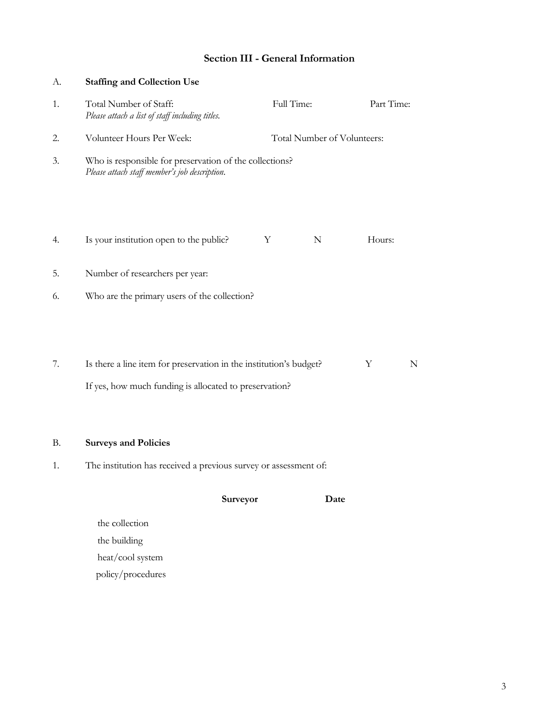## **Section III - General Information**

| А.        | <b>Staffing and Collection Use</b>                                                                                           |          |                             |      |            |   |
|-----------|------------------------------------------------------------------------------------------------------------------------------|----------|-----------------------------|------|------------|---|
| 1.        | Total Number of Staff:<br>Please attach a list of staff including titles.                                                    |          | Full Time:                  |      | Part Time: |   |
| 2.        | Volunteer Hours Per Week:                                                                                                    |          | Total Number of Volunteers: |      |            |   |
| 3.        | Who is responsible for preservation of the collections?<br>Please attach staff member's job description.                     |          |                             |      |            |   |
| 4.        | Is your institution open to the public?                                                                                      | Y        | N                           |      | Hours:     |   |
| 5.        | Number of researchers per year:                                                                                              |          |                             |      |            |   |
| 6.        | Who are the primary users of the collection?                                                                                 |          |                             |      |            |   |
| 7.        | Is there a line item for preservation in the institution's budget?<br>If yes, how much funding is allocated to preservation? |          |                             |      | Y          | N |
| <b>B.</b> | <b>Surveys and Policies</b>                                                                                                  |          |                             |      |            |   |
| 1.        | The institution has received a previous survey or assessment of:                                                             |          |                             |      |            |   |
|           |                                                                                                                              | Surveyor |                             | Date |            |   |
|           | the collection                                                                                                               |          |                             |      |            |   |
|           | the building                                                                                                                 |          |                             |      |            |   |

 heat/cool system policy/procedures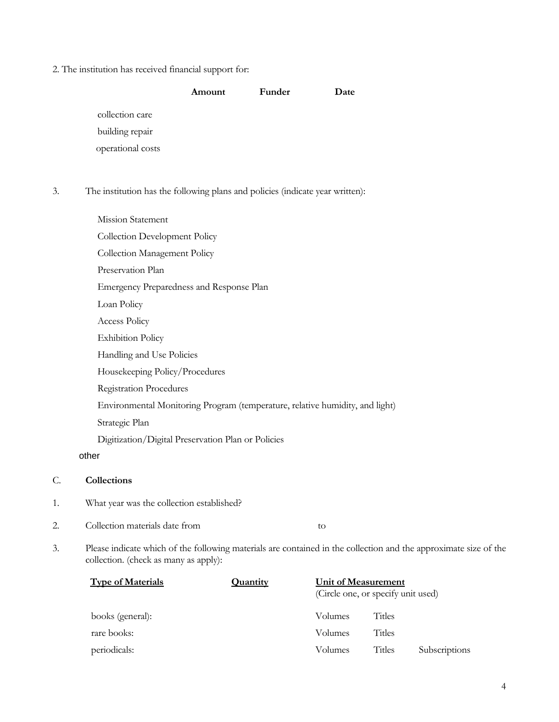2. The institution has received financial support for:

|                   | Amount | Funder | Date |
|-------------------|--------|--------|------|
| collection care   |        |        |      |
| building repair   |        |        |      |
| operational costs |        |        |      |

3. The institution has the following plans and policies (indicate year written):

| Mission Statement                                                            |
|------------------------------------------------------------------------------|
| Collection Development Policy                                                |
| Collection Management Policy                                                 |
| Preservation Plan                                                            |
| Emergency Preparedness and Response Plan                                     |
| Loan Policy                                                                  |
| Access Policy                                                                |
| <b>Exhibition Policy</b>                                                     |
| Handling and Use Policies                                                    |
| Housekeeping Policy/Procedures                                               |
| <b>Registration Procedures</b>                                               |
| Environmental Monitoring Program (temperature, relative humidity, and light) |
| Strategic Plan                                                               |
| Digitization/Digital Preservation Plan or Policies                           |
| other                                                                        |
| Collections<br>C.                                                            |

- 1. What year was the collection established?
- 2. Collection materials date from to
- 3. Please indicate which of the following materials are contained in the collection and the approximate size of the collection. (check as many as apply):

| <b>Type of Materials</b> | Quantity | <b>Unit of Measurement</b><br>(Circle one, or specify unit used) |               |               |
|--------------------------|----------|------------------------------------------------------------------|---------------|---------------|
| books (general):         |          | Volumes                                                          | Titles        |               |
| rare books:              |          | Volumes                                                          | <b>Titles</b> |               |
| periodicals:             |          | Volumes                                                          | <b>Titles</b> | Subscriptions |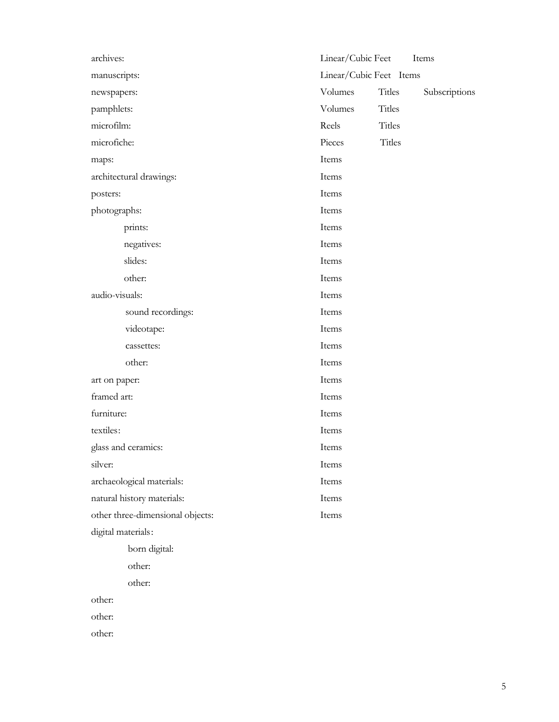| archives:                        | Linear/Cubic Feet       |               | Items         |
|----------------------------------|-------------------------|---------------|---------------|
| manuscripts:                     | Linear/Cubic Feet Items |               |               |
| newspapers:                      | Volumes                 | Titles        | Subscriptions |
| pamphlets:                       | Volumes                 | <b>Titles</b> |               |
| microfilm:                       | Reels                   | <b>Titles</b> |               |
| microfiche:                      | Pieces                  | <b>Titles</b> |               |
| maps:                            | Items                   |               |               |
| architectural drawings:          | Items                   |               |               |
| posters:                         | Items                   |               |               |
| photographs:                     | Items                   |               |               |
| prints:                          | Items                   |               |               |
| negatives:                       | Items                   |               |               |
| slides:                          | Items                   |               |               |
| other:                           | Items                   |               |               |
| audio-visuals:                   | Items                   |               |               |
| sound recordings:                | Items                   |               |               |
| videotape:                       | Items                   |               |               |
| cassettes:                       | Items                   |               |               |
| other:                           | Items                   |               |               |
| art on paper:                    | Items                   |               |               |
| framed art:                      | Items                   |               |               |
| furniture:                       | Items                   |               |               |
| textiles:                        | Items                   |               |               |
| glass and ceramics:              | Items                   |               |               |
| silver:                          | Items                   |               |               |
| archaeological materials:        | Items                   |               |               |
| natural history materials:       | Items                   |               |               |
| other three-dimensional objects: | Items                   |               |               |
| digital materials:               |                         |               |               |
| born digital:                    |                         |               |               |
| other:                           |                         |               |               |
| other:                           |                         |               |               |
| other:                           |                         |               |               |
| other:                           |                         |               |               |
| other:                           |                         |               |               |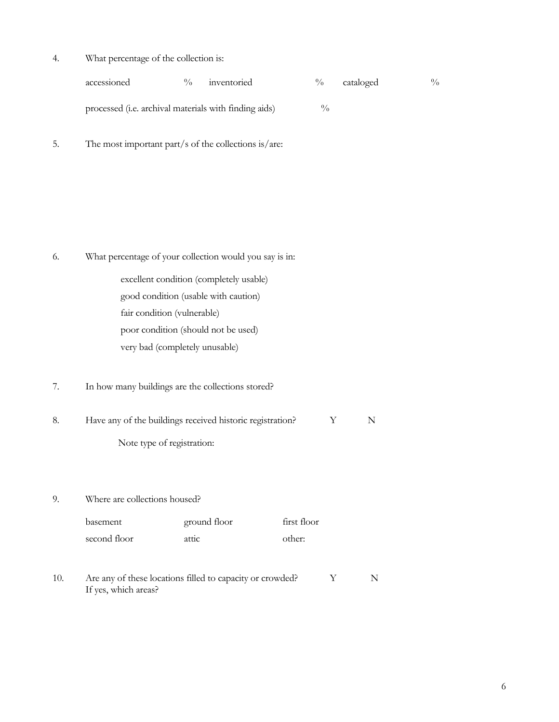4. What percentage of the collection is:

| accessioned                                                   | $\frac{0}{0}$ | inventoried | $\frac{0}{0}$ | cataloged | $\frac{0}{0}$ |
|---------------------------------------------------------------|---------------|-------------|---------------|-----------|---------------|
| processed ( <i>i.e.</i> archival materials with finding aids) |               |             | $\frac{0}{0}$ |           |               |

5. The most important part/s of the collections is/are:

- 6. What percentage of your collection would you say is in: excellent condition (completely usable)
	- good condition (usable with caution) fair condition (vulnerable) poor condition (should not be used) very bad (completely unusable)
- 7. In how many buildings are the collections stored?
- 8. Have any of the buildings received historic registration? Y N Note type of registration:
- 9. Where are collections housed?

| basement     | ground floor | first floor |
|--------------|--------------|-------------|
| second floor | attic        | other:      |

10. Are any of these locations filled to capacity or crowded? Y N If yes, which areas?